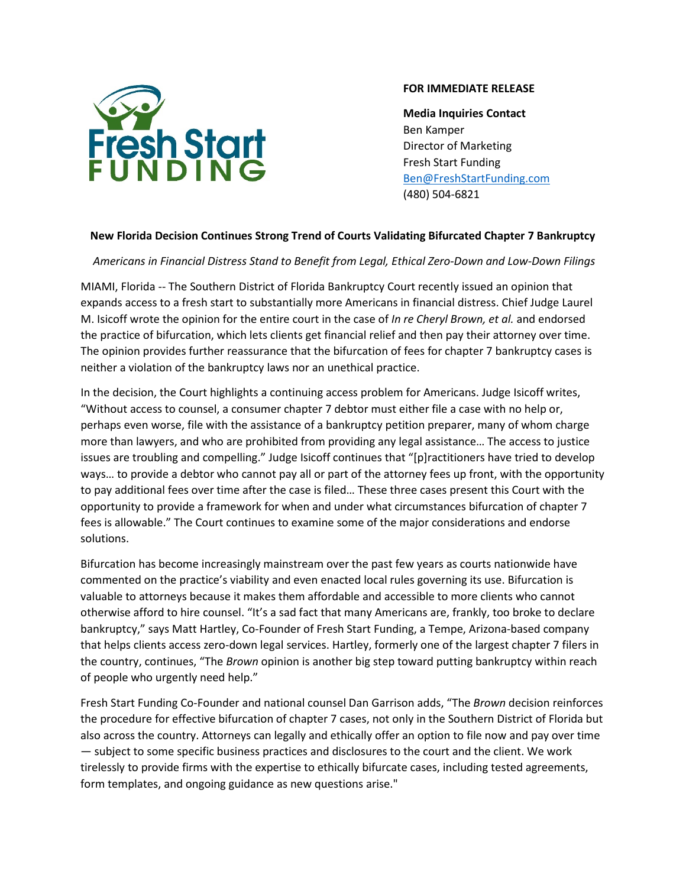

## **FOR IMMEDIATE RELEASE**

**Media Inquiries Contact** Ben Kamper Director of Marketing Fresh Start Funding [Ben@FreshStartFunding.com](mailto:Ben@FreshStartFunding.com) (480) 504-6821

## **New Florida Decision Continues Strong Trend of Courts Validating Bifurcated Chapter 7 Bankruptcy**

*Americans in Financial Distress Stand to Benefit from Legal, Ethical Zero-Down and Low-Down Filings*

MIAMI, Florida -- The Southern District of Florida Bankruptcy Court recently issued an opinion that expands access to a fresh start to substantially more Americans in financial distress. Chief Judge Laurel M. Isicoff wrote the opinion for the entire court in the case of *In re Cheryl Brown, et al.* and endorsed the practice of bifurcation, which lets clients get financial relief and then pay their attorney over time. The opinion provides further reassurance that the bifurcation of fees for chapter 7 bankruptcy cases is neither a violation of the bankruptcy laws nor an unethical practice.

In the decision, the Court highlights a continuing access problem for Americans. Judge Isicoff writes, "Without access to counsel, a consumer chapter 7 debtor must either file a case with no help or, perhaps even worse, file with the assistance of a bankruptcy petition preparer, many of whom charge more than lawyers, and who are prohibited from providing any legal assistance… The access to justice issues are troubling and compelling." Judge Isicoff continues that "[p]ractitioners have tried to develop ways… to provide a debtor who cannot pay all or part of the attorney fees up front, with the opportunity to pay additional fees over time after the case is filed… These three cases present this Court with the opportunity to provide a framework for when and under what circumstances bifurcation of chapter 7 fees is allowable." The Court continues to examine some of the major considerations and endorse solutions.

Bifurcation has become increasingly mainstream over the past few years as courts nationwide have commented on the practice's viability and even enacted local rules governing its use. Bifurcation is valuable to attorneys because it makes them affordable and accessible to more clients who cannot otherwise afford to hire counsel. "It's a sad fact that many Americans are, frankly, too broke to declare bankruptcy," says Matt Hartley, Co-Founder of Fresh Start Funding, a Tempe, Arizona-based company that helps clients access zero-down legal services. Hartley, formerly one of the largest chapter 7 filers in the country, continues, "The *Brown* opinion is another big step toward putting bankruptcy within reach of people who urgently need help."

Fresh Start Funding Co-Founder and national counsel Dan Garrison adds, "The *Brown* decision reinforces the procedure for effective bifurcation of chapter 7 cases, not only in the Southern District of Florida but also across the country. Attorneys can legally and ethically offer an option to file now and pay over time — subject to some specific business practices and disclosures to the court and the client. We work tirelessly to provide firms with the expertise to ethically bifurcate cases, including tested agreements, form templates, and ongoing guidance as new questions arise."